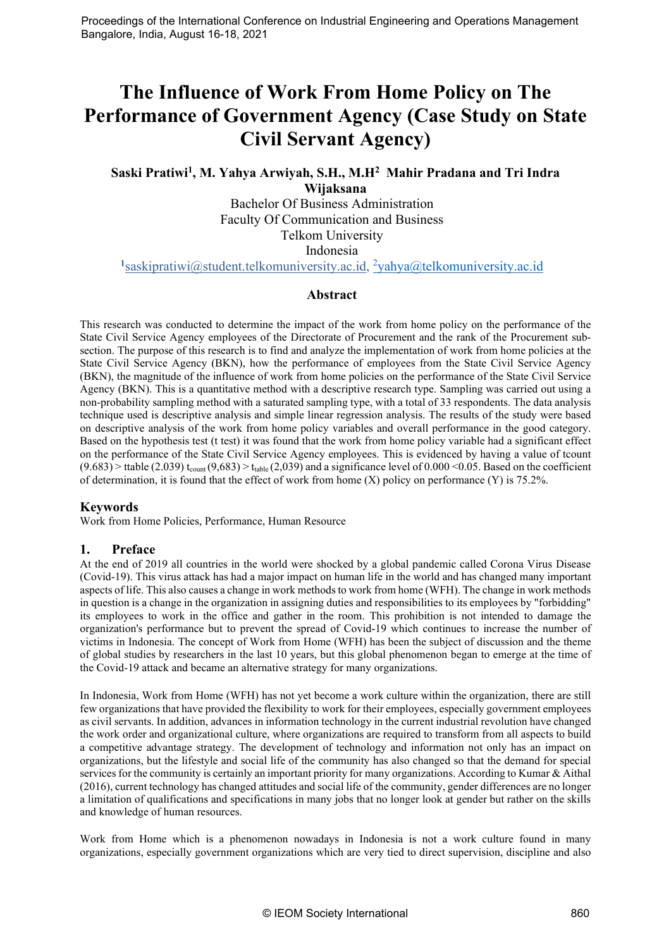# **The Influence of Work From Home Policy on The Performance of Government Agency (Case Study on State Civil Servant Agency)**

# **Saski Pratiwi1, M. Yahya Arwiyah, S.H., M.H2 Mahir Pradana and Tri Indra Wijaksana**

Bachelor Of Business Administration Faculty Of Communication and Business Telkom University Indonesia

<sup>1</sup>saskipratiwi@student.telkomuniversity.ac.id, <sup>2</sup>[yahya@telkomuniversity.ac.id](mailto:2yahya@telkomuniversity.ac.id)

## **Abstract**

This research was conducted to determine the impact of the work from home policy on the performance of the State Civil Service Agency employees of the Directorate of Procurement and the rank of the Procurement subsection. The purpose of this research is to find and analyze the implementation of work from home policies at the State Civil Service Agency (BKN), how the performance of employees from the State Civil Service Agency (BKN), the magnitude of the influence of work from home policies on the performance of the State Civil Service Agency (BKN). This is a quantitative method with a descriptive research type. Sampling was carried out using a non-probability sampling method with a saturated sampling type, with a total of 33 respondents. The data analysis technique used is descriptive analysis and simple linear regression analysis. The results of the study were based on descriptive analysis of the work from home policy variables and overall performance in the good category. Based on the hypothesis test (t test) it was found that the work from home policy variable had a significant effect on the performance of the State Civil Service Agency employees. This is evidenced by having a value of tcount  $(9.683)$  > ttable  $(2.039)$  t<sub>count</sub>  $(9.683)$  > t<sub>table</sub>  $(2.039)$  and a significance level of 0.000 <0.05. Based on the coefficient of determination, it is found that the effect of work from home  $(X)$  policy on performance  $(Y)$  is 75.2%.

# **Keywords**

Work from Home Policies, Performance, Human Resource

# **1. Preface**

At the end of 2019 all countries in the world were shocked by a global pandemic called Corona Virus Disease (Covid-19). This virus attack has had a major impact on human life in the world and has changed many important aspects of life. This also causes a change in work methods to work from home (WFH). The change in work methods in question is a change in the organization in assigning duties and responsibilities to its employees by "forbidding" its employees to work in the office and gather in the room. This prohibition is not intended to damage the organization's performance but to prevent the spread of Covid-19 which continues to increase the number of victims in Indonesia. The concept of Work from Home (WFH) has been the subject of discussion and the theme of global studies by researchers in the last 10 years, but this global phenomenon began to emerge at the time of the Covid-19 attack and became an alternative strategy for many organizations.

In Indonesia, Work from Home (WFH) has not yet become a work culture within the organization, there are still few organizations that have provided the flexibility to work for their employees, especially government employees as civil servants. In addition, advances in information technology in the current industrial revolution have changed the work order and organizational culture, where organizations are required to transform from all aspects to build a competitive advantage strategy. The development of technology and information not only has an impact on organizations, but the lifestyle and social life of the community has also changed so that the demand for special services for the community is certainly an important priority for many organizations. According to Kumar & Aithal (2016), current technology has changed attitudes and social life of the community, gender differences are no longer a limitation of qualifications and specifications in many jobs that no longer look at gender but rather on the skills and knowledge of human resources.

Work from Home which is a phenomenon nowadays in Indonesia is not a work culture found in many organizations, especially government organizations which are very tied to direct supervision, discipline and also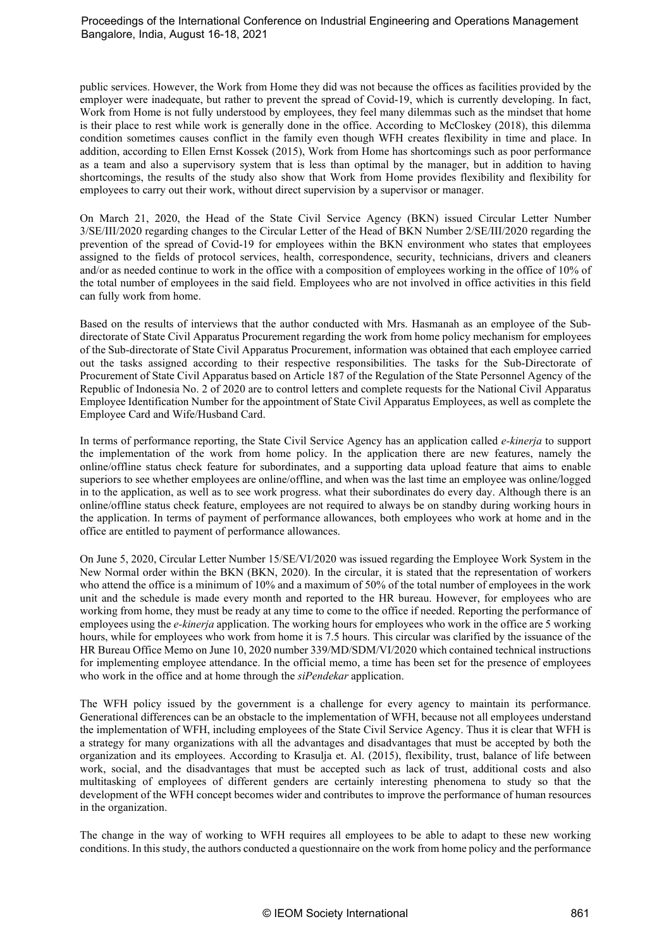public services. However, the Work from Home they did was not because the offices as facilities provided by the employer were inadequate, but rather to prevent the spread of Covid-19, which is currently developing. In fact, Work from Home is not fully understood by employees, they feel many dilemmas such as the mindset that home is their place to rest while work is generally done in the office. According to McCloskey (2018), this dilemma condition sometimes causes conflict in the family even though WFH creates flexibility in time and place. In addition, according to Ellen Ernst Kossek (2015), Work from Home has shortcomings such as poor performance as a team and also a supervisory system that is less than optimal by the manager, but in addition to having shortcomings, the results of the study also show that Work from Home provides flexibility and flexibility for employees to carry out their work, without direct supervision by a supervisor or manager.

On March 21, 2020, the Head of the State Civil Service Agency (BKN) issued Circular Letter Number 3/SE/III/2020 regarding changes to the Circular Letter of the Head of BKN Number 2/SE/III/2020 regarding the prevention of the spread of Covid-19 for employees within the BKN environment who states that employees assigned to the fields of protocol services, health, correspondence, security, technicians, drivers and cleaners and/or as needed continue to work in the office with a composition of employees working in the office of 10% of the total number of employees in the said field. Employees who are not involved in office activities in this field can fully work from home.

Based on the results of interviews that the author conducted with Mrs. Hasmanah as an employee of the Subdirectorate of State Civil Apparatus Procurement regarding the work from home policy mechanism for employees of the Sub-directorate of State Civil Apparatus Procurement, information was obtained that each employee carried out the tasks assigned according to their respective responsibilities. The tasks for the Sub-Directorate of Procurement of State Civil Apparatus based on Article 187 of the Regulation of the State Personnel Agency of the Republic of Indonesia No. 2 of 2020 are to control letters and complete requests for the National Civil Apparatus Employee Identification Number for the appointment of State Civil Apparatus Employees, as well as complete the Employee Card and Wife/Husband Card.

In terms of performance reporting, the State Civil Service Agency has an application called *e-kinerja* to support the implementation of the work from home policy. In the application there are new features, namely the online/offline status check feature for subordinates, and a supporting data upload feature that aims to enable superiors to see whether employees are online/offline, and when was the last time an employee was online/logged in to the application, as well as to see work progress. what their subordinates do every day. Although there is an online/offline status check feature, employees are not required to always be on standby during working hours in the application. In terms of payment of performance allowances, both employees who work at home and in the office are entitled to payment of performance allowances.

On June 5, 2020, Circular Letter Number 15/SE/VI/2020 was issued regarding the Employee Work System in the New Normal order within the BKN (BKN, 2020). In the circular, it is stated that the representation of workers who attend the office is a minimum of 10% and a maximum of 50% of the total number of employees in the work unit and the schedule is made every month and reported to the HR bureau. However, for employees who are working from home, they must be ready at any time to come to the office if needed. Reporting the performance of employees using the *e-kinerja* application. The working hours for employees who work in the office are 5 working hours, while for employees who work from home it is 7.5 hours. This circular was clarified by the issuance of the HR Bureau Office Memo on June 10, 2020 number 339/MD/SDM/VI/2020 which contained technical instructions for implementing employee attendance. In the official memo, a time has been set for the presence of employees who work in the office and at home through the *siPendekar* application.

The WFH policy issued by the government is a challenge for every agency to maintain its performance. Generational differences can be an obstacle to the implementation of WFH, because not all employees understand the implementation of WFH, including employees of the State Civil Service Agency. Thus it is clear that WFH is a strategy for many organizations with all the advantages and disadvantages that must be accepted by both the organization and its employees. According to Krasulja et. Al. (2015), flexibility, trust, balance of life between work, social, and the disadvantages that must be accepted such as lack of trust, additional costs and also multitasking of employees of different genders are certainly interesting phenomena to study so that the development of the WFH concept becomes wider and contributes to improve the performance of human resources in the organization.

The change in the way of working to WFH requires all employees to be able to adapt to these new working conditions. In this study, the authors conducted a questionnaire on the work from home policy and the performance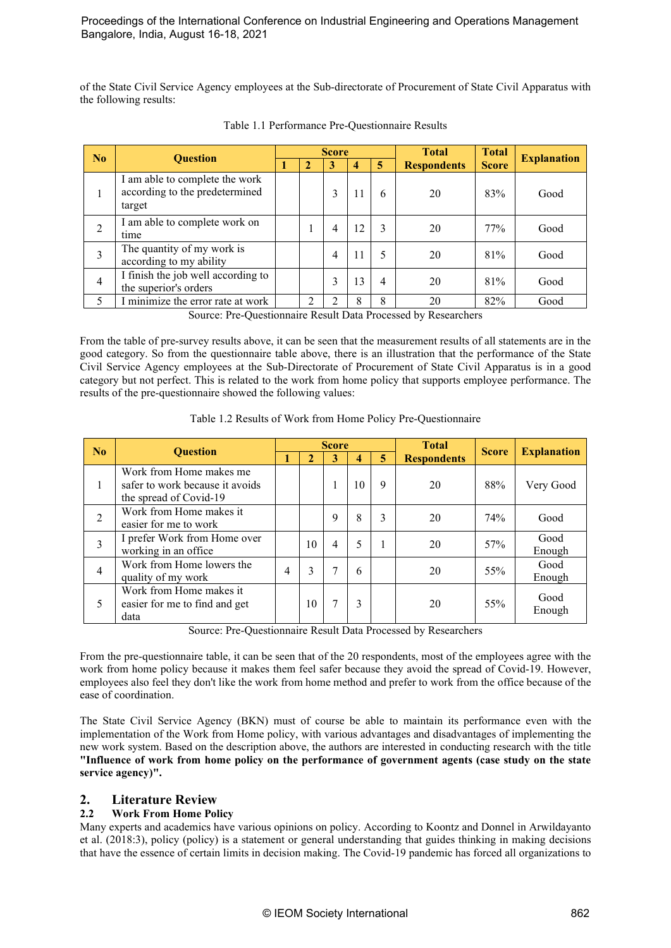of the State Civil Service Agency employees at the Sub-directorate of Procurement of State Civil Apparatus with the following results:

| N <sub>0</sub> |                                                                            |  |                             | <b>Score</b> |    |                | <b>Total</b>       | <b>Total</b> | <b>Explanation</b> |
|----------------|----------------------------------------------------------------------------|--|-----------------------------|--------------|----|----------------|--------------------|--------------|--------------------|
|                | <b>Ouestion</b>                                                            |  | 2                           | 3            | 4  | 5.             | <b>Respondents</b> | <b>Score</b> |                    |
| I.             | I am able to complete the work<br>according to the predetermined<br>target |  |                             | 3            | 11 | 6              | 20                 | 83%          | Good               |
| $\overline{2}$ | I am able to complete work on<br>time                                      |  |                             | 4            | 12 | 3              | 20                 | 77%          | Good               |
| 3              | The quantity of my work is<br>according to my ability                      |  |                             | 4            | 11 | 5              | 20                 | 81%          | Good               |
| $\overline{4}$ | I finish the job well according to<br>the superior's orders                |  |                             | 3            | 13 | $\overline{4}$ | 20                 | 81%          | Good               |
| 5              | I minimize the error rate at work                                          |  | $\mathcal{D}_{\mathcal{L}}$ |              | 8  | 8              | 20                 | 82%          | Good               |
|                | $\alpha$ n $\alpha$ $\beta$<br>1.7.7.7<br>11 <sub>m</sub><br>$\sqrt{ }$    |  |                             |              |    |                |                    |              |                    |

Table 1.1 Performance Pre-Questionnaire Results

Source: Pre-Questionnaire Result Data Processed by Researchers

From the table of pre-survey results above, it can be seen that the measurement results of all statements are in the good category. So from the questionnaire table above, there is an illustration that the performance of the State Civil Service Agency employees at the Sub-Directorate of Procurement of State Civil Apparatus is in a good category but not perfect. This is related to the work from home policy that supports employee performance. The results of the pre-questionnaire showed the following values:

|  |  |  |  | Table 1.2 Results of Work from Home Policy Pre-Questionnaire |  |
|--|--|--|--|--------------------------------------------------------------|--|
|  |  |  |  |                                                              |  |

| No<br><b>Ouestion</b> |                                                                                      | <b>Score</b> |    |             |    |   | <b>Total</b>       | <b>Score</b> | <b>Explanation</b> |
|-----------------------|--------------------------------------------------------------------------------------|--------------|----|-------------|----|---|--------------------|--------------|--------------------|
|                       |                                                                                      |              |    | 3           | 4  | 5 | <b>Respondents</b> |              |                    |
|                       | Work from Home makes me<br>safer to work because it avoids<br>the spread of Covid-19 |              |    |             | 10 | 9 | 20                 | 88%          | Very Good          |
| $\overline{c}$        | Work from Home makes it<br>easier for me to work                                     |              |    | $\mathbf Q$ | 8  | 3 | 20                 | 74%          | Good               |
| 3                     | I prefer Work from Home over<br>working in an office                                 |              | 10 | 4           | 5  | 1 | 20                 | 57%          | Good<br>Enough     |
| 4                     | Work from Home lowers the<br>quality of my work                                      | 4            | 3  |             | 6  |   | 20                 | 55%          | Good<br>Enough     |
| 5                     | Work from Home makes it<br>easier for me to find and get<br>data                     |              | 10 |             | 3  |   | 20                 | 55%          | Good<br>Enough     |

Source: Pre-Questionnaire Result Data Processed by Researchers

From the pre-questionnaire table, it can be seen that of the 20 respondents, most of the employees agree with the work from home policy because it makes them feel safer because they avoid the spread of Covid-19. However, employees also feel they don't like the work from home method and prefer to work from the office because of the ease of coordination.

The State Civil Service Agency (BKN) must of course be able to maintain its performance even with the implementation of the Work from Home policy, with various advantages and disadvantages of implementing the new work system. Based on the description above, the authors are interested in conducting research with the title **"Influence of work from home policy on the performance of government agents (case study on the state service agency)".**

# **2. Literature Review**

# **2.2 Work From Home Policy**

Many experts and academics have various opinions on policy. According to Koontz and Donnel in Arwildayanto et al. (2018:3), policy (policy) is a statement or general understanding that guides thinking in making decisions that have the essence of certain limits in decision making. The Covid-19 pandemic has forced all organizations to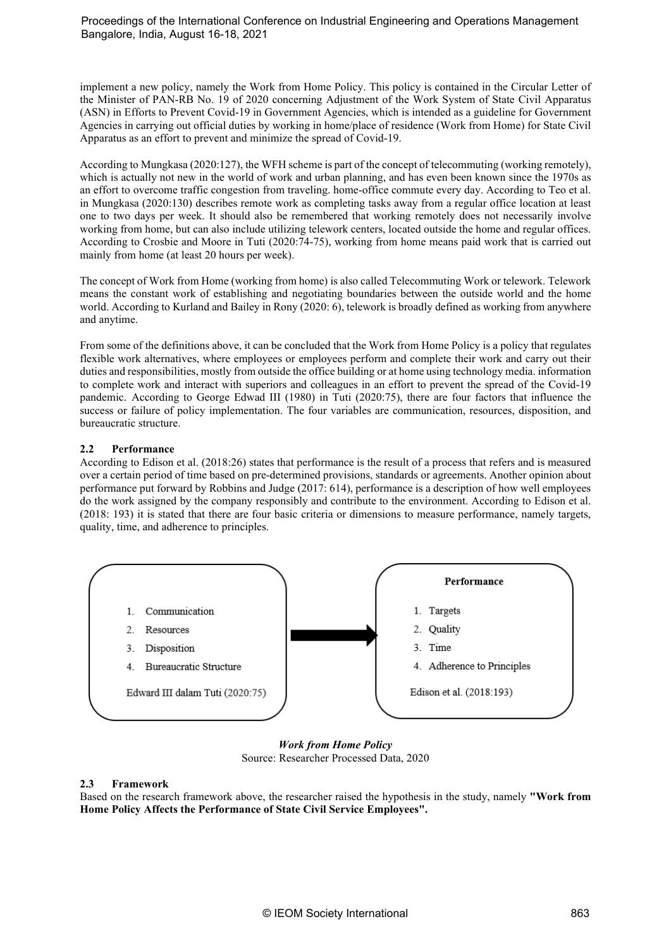implement a new policy, namely the Work from Home Policy. This policy is contained in the Circular Letter of the Minister of PAN-RB No. 19 of 2020 concerning Adjustment of the Work System of State Civil Apparatus (ASN) in Efforts to Prevent Covid-19 in Government Agencies, which is intended as a guideline for Government Agencies in carrying out official duties by working in home/place of residence (Work from Home) for State Civil Apparatus as an effort to prevent and minimize the spread of Covid-19.

According to Mungkasa (2020:127), the WFH scheme is part of the concept of telecommuting (working remotely), which is actually not new in the world of work and urban planning, and has even been known since the 1970s as an effort to overcome traffic congestion from traveling. home-office commute every day. According to Teo et al. in Mungkasa (2020:130) describes remote work as completing tasks away from a regular office location at least one to two days per week. It should also be remembered that working remotely does not necessarily involve working from home, but can also include utilizing telework centers, located outside the home and regular offices. According to Crosbie and Moore in Tuti (2020:74-75), working from home means paid work that is carried out mainly from home (at least 20 hours per week).

The concept of Work from Home (working from home) is also called Telecommuting Work or telework. Telework means the constant work of establishing and negotiating boundaries between the outside world and the home world. According to Kurland and Bailey in Rony (2020: 6), telework is broadly defined as working from anywhere and anytime.

From some of the definitions above, it can be concluded that the Work from Home Policy is a policy that regulates flexible work alternatives, where employees or employees perform and complete their work and carry out their duties and responsibilities, mostly from outside the office building or at home using technology media. information to complete work and interact with superiors and colleagues in an effort to prevent the spread of the Covid-19 pandemic. According to George Edwad III (1980) in Tuti (2020:75), there are four factors that influence the success or failure of policy implementation. The four variables are communication, resources, disposition, and bureaucratic structure.

## **2.2 Performance**

According to Edison et al. (2018:26) states that performance is the result of a process that refers and is measured over a certain period of time based on pre-determined provisions, standards or agreements. Another opinion about performance put forward by Robbins and Judge (2017: 614), performance is a description of how well employees do the work assigned by the company responsibly and contribute to the environment. According to Edison et al. (2018: 193) it is stated that there are four basic criteria or dimensions to measure performance, namely targets, quality, time, and adherence to principles.



*Work from Home Policy* Source: Researcher Processed Data, 2020

#### **2.3 Framework**

Based on the research framework above, the researcher raised the hypothesis in the study, namely **"Work from Home Policy Affects the Performance of State Civil Service Employees".**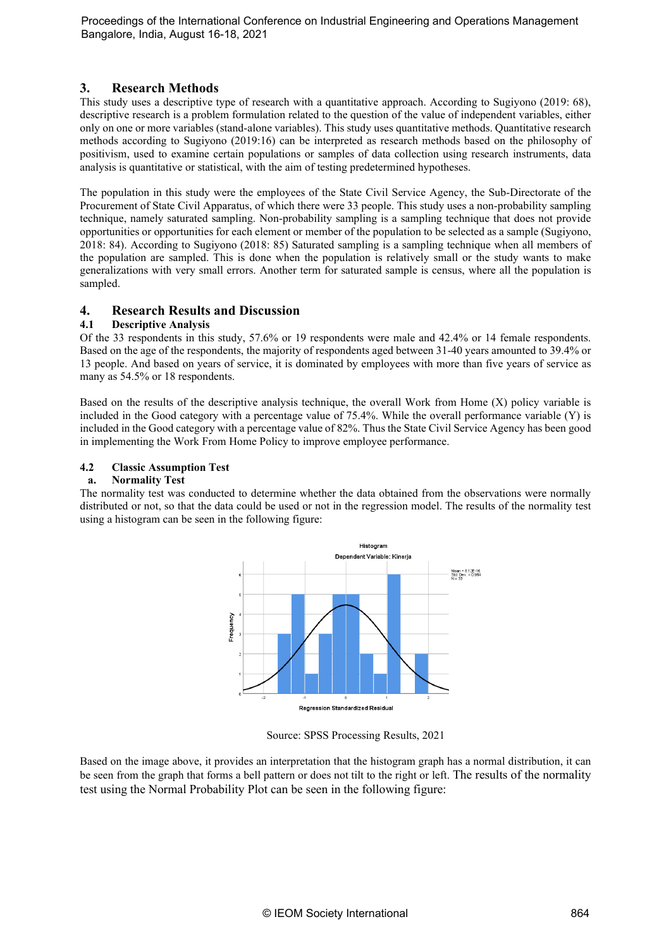# **3. Research Methods**

This study uses a descriptive type of research with a quantitative approach. According to Sugiyono (2019: 68), descriptive research is a problem formulation related to the question of the value of independent variables, either only on one or more variables (stand-alone variables). This study uses quantitative methods. Quantitative research methods according to Sugiyono (2019:16) can be interpreted as research methods based on the philosophy of positivism, used to examine certain populations or samples of data collection using research instruments, data analysis is quantitative or statistical, with the aim of testing predetermined hypotheses.

The population in this study were the employees of the State Civil Service Agency, the Sub-Directorate of the Procurement of State Civil Apparatus, of which there were 33 people. This study uses a non-probability sampling technique, namely saturated sampling. Non-probability sampling is a sampling technique that does not provide opportunities or opportunities for each element or member of the population to be selected as a sample (Sugiyono, 2018: 84). According to Sugiyono (2018: 85) Saturated sampling is a sampling technique when all members of the population are sampled. This is done when the population is relatively small or the study wants to make generalizations with very small errors. Another term for saturated sample is census, where all the population is sampled.

# **4. Research Results and Discussion**

## **4.1 Descriptive Analysis**

Of the 33 respondents in this study, 57.6% or 19 respondents were male and 42.4% or 14 female respondents. Based on the age of the respondents, the majority of respondents aged between 31-40 years amounted to 39.4% or 13 people. And based on years of service, it is dominated by employees with more than five years of service as many as 54.5% or 18 respondents.

Based on the results of the descriptive analysis technique, the overall Work from Home (X) policy variable is included in the Good category with a percentage value of 75.4%. While the overall performance variable (Y) is included in the Good category with a percentage value of 82%. Thus the State Civil Service Agency has been good in implementing the Work From Home Policy to improve employee performance.

## **4.2 Classic Assumption Test**

#### **a. Normality Test**

The normality test was conducted to determine whether the data obtained from the observations were normally distributed or not, so that the data could be used or not in the regression model. The results of the normality test using a histogram can be seen in the following figure:



Source: SPSS Processing Results, 2021

Based on the image above, it provides an interpretation that the histogram graph has a normal distribution, it can be seen from the graph that forms a bell pattern or does not tilt to the right or left. The results of the normality test using the Normal Probability Plot can be seen in the following figure: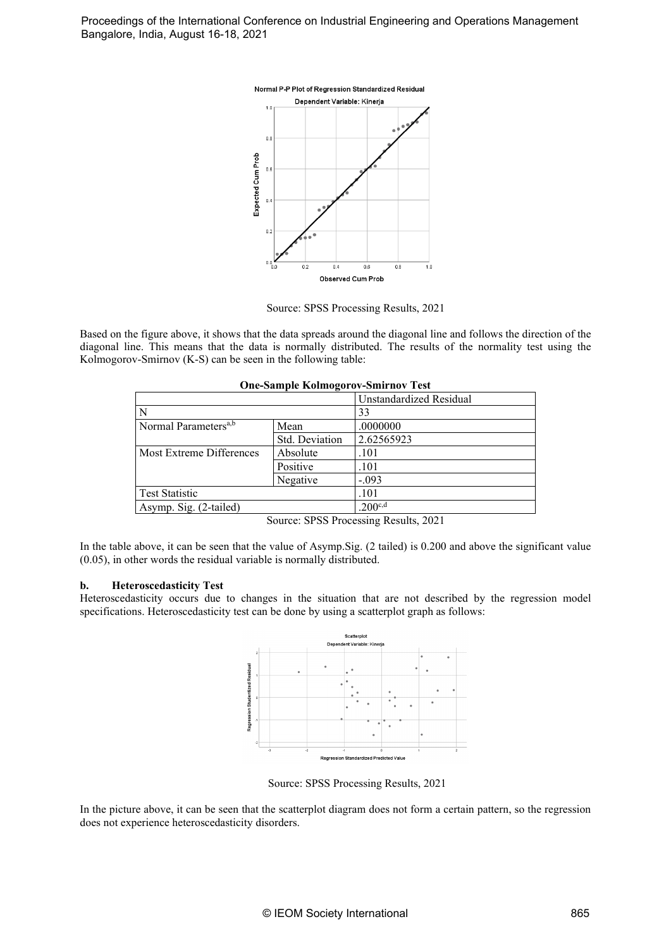

Source: SPSS Processing Results, 2021

Based on the figure above, it shows that the data spreads around the diagonal line and follows the direction of the diagonal line. This means that the data is normally distributed. The results of the normality test using the Kolmogorov-Smirnov (K-S) can be seen in the following table:

| One-Sample Konnogorov-Siminov Test       |          |                         |  |  |  |  |  |
|------------------------------------------|----------|-------------------------|--|--|--|--|--|
|                                          |          | Unstandardized Residual |  |  |  |  |  |
| N                                        |          | 33                      |  |  |  |  |  |
| Normal Parameters <sup>a,b</sup><br>Mean |          | .0000000                |  |  |  |  |  |
| Std. Deviation                           |          | 2.62565923              |  |  |  |  |  |
| Absolute<br>Most Extreme Differences     |          | .101                    |  |  |  |  |  |
|                                          | Positive | .101                    |  |  |  |  |  |
|                                          | Negative | $-.093$                 |  |  |  |  |  |
| <b>Test Statistic</b>                    |          | .101                    |  |  |  |  |  |
| Asymp. Sig. (2-tailed)                   |          | $.200^{c,d}$            |  |  |  |  |  |
|                                          |          |                         |  |  |  |  |  |

**One-Sample Kolmogorov-Smirnov Test**

In the table above, it can be seen that the value of Asymp.Sig. (2 tailed) is 0.200 and above the significant value (0.05), in other words the residual variable is normally distributed.

#### **b. Heteroscedasticity Test**

Heteroscedasticity occurs due to changes in the situation that are not described by the regression model specifications. Heteroscedasticity test can be done by using a scatterplot graph as follows:



Source: SPSS Processing Results, 2021

In the picture above, it can be seen that the scatterplot diagram does not form a certain pattern, so the regression does not experience heteroscedasticity disorders.

Source: SPSS Processing Results, 2021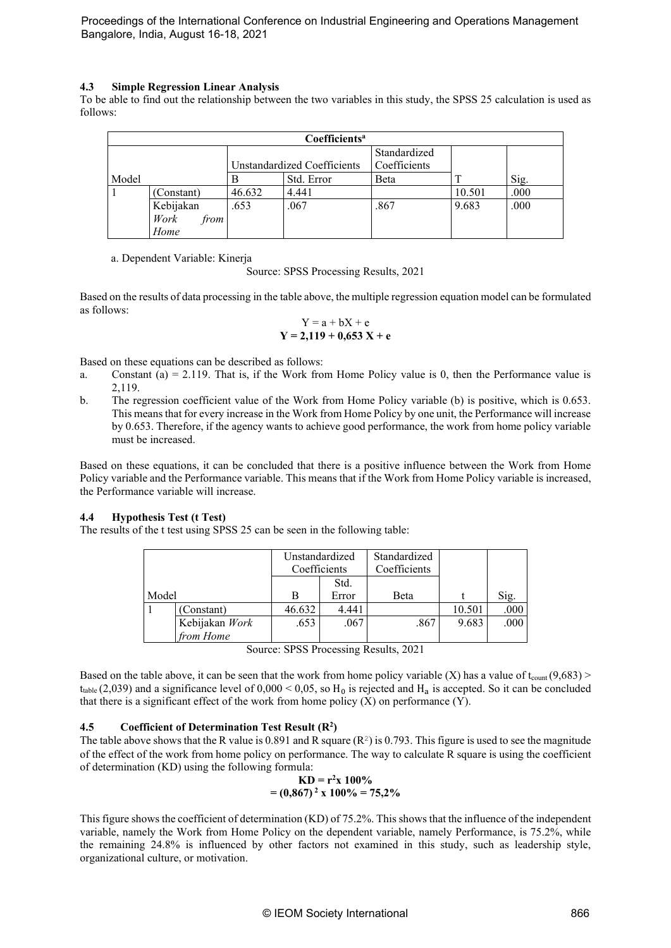#### **4.3 Simple Regression Linear Analysis**

To be able to find out the relationship between the two variables in this study, the SPSS 25 calculation is used as follows:

| Coefficients <sup>a</sup> |              |        |                             |              |        |      |  |  |  |
|---------------------------|--------------|--------|-----------------------------|--------------|--------|------|--|--|--|
|                           |              |        |                             | Standardized |        |      |  |  |  |
|                           |              |        | Unstandardized Coefficients | Coefficients |        |      |  |  |  |
| Model                     |              |        | Std. Error                  | Beta         |        | Sig. |  |  |  |
|                           | (Constant)   | 46.632 | 4.441                       |              | 10.501 | .000 |  |  |  |
|                           | Kebijakan    | .653   | .067                        | .867         | 9.683  | .000 |  |  |  |
|                           | Work<br>from |        |                             |              |        |      |  |  |  |
|                           | Home         |        |                             |              |        |      |  |  |  |

a. Dependent Variable: Kinerja

Source: SPSS Processing Results, 2021

Based on the results of data processing in the table above, the multiple regression equation model can be formulated as follows:

$$
Y = a + bX + e
$$
  
Y = 2,119 + 0,653 X + e

Based on these equations can be described as follows:

- a. Constant (a) = 2.119. That is, if the Work from Home Policy value is 0, then the Performance value is 2,119.
- b. The regression coefficient value of the Work from Home Policy variable (b) is positive, which is 0.653. This means that for every increase in the Work from Home Policy by one unit, the Performance will increase by 0.653. Therefore, if the agency wants to achieve good performance, the work from home policy variable must be increased.

Based on these equations, it can be concluded that there is a positive influence between the Work from Home Policy variable and the Performance variable. This means that if the Work from Home Policy variable is increased, the Performance variable will increase.

#### **4.4 Hypothesis Test (t Test)**

The results of the t test using SPSS 25 can be seen in the following table:

|       |                | Unstandardized<br>Coefficients |       | Standardized<br>Coefficients |        |      |
|-------|----------------|--------------------------------|-------|------------------------------|--------|------|
|       |                |                                | Std.  |                              |        |      |
| Model |                | в                              | Error | Beta                         |        | Sig. |
|       | (Constant)     | 46.632                         | 4.441 |                              | 10.501 | .000 |
|       | Kebijakan Work | .653                           | .067  | .867                         | 9.683  | .000 |
|       | from Home      |                                |       |                              |        |      |

| Source: SPSS Processing Results, 2021 |  |  |  |
|---------------------------------------|--|--|--|
|---------------------------------------|--|--|--|

Based on the table above, it can be seen that the work from home policy variable (X) has a value of  $t_{\text{count}}(9,683)$  > t<sub>table</sub> (2,039) and a significance level of 0,000 < 0,05, so H<sub>0</sub> is rejected and H<sub>a</sub> is accepted. So it can be concluded that there is a significant effect of the work from home policy  $(X)$  on performance  $(Y)$ .

#### **4.5 Coefficient of Determination Test Result (R2 )**

The table above shows that the R value is 0.891 and R square  $(R^2)$  is 0.793. This figure is used to see the magnitude of the effect of the work from home policy on performance. The way to calculate R square is using the coefficient of determination (KD) using the following formula:

$$
KD = r2x 100%
$$
  
= (0,867)<sup>2</sup> x 100% = 75,2%

This figure shows the coefficient of determination (KD) of 75.2%. This shows that the influence of the independent variable, namely the Work from Home Policy on the dependent variable, namely Performance, is 75.2%, while the remaining 24.8% is influenced by other factors not examined in this study, such as leadership style, organizational culture, or motivation.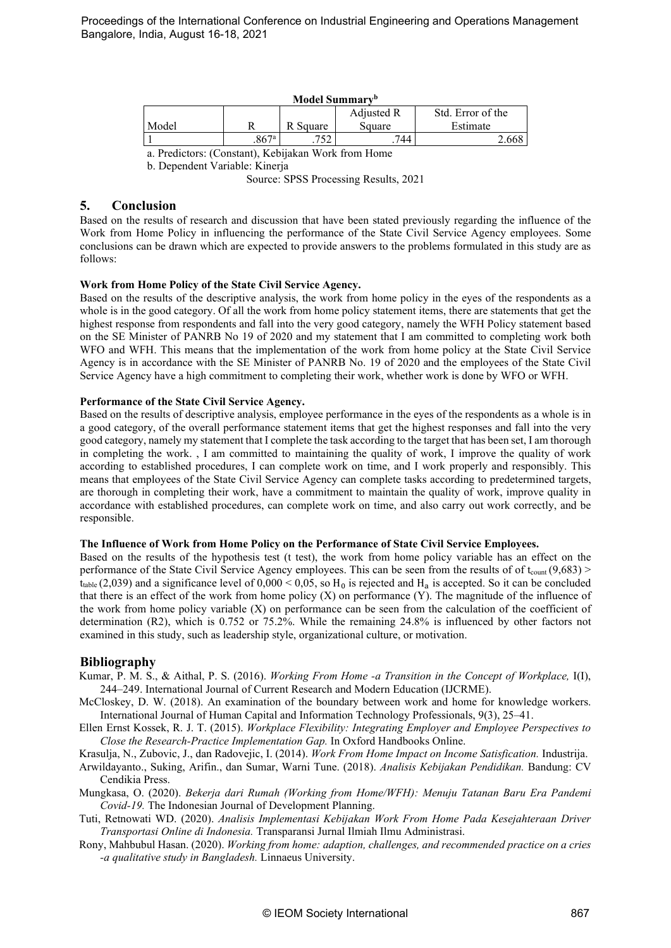| Model Summary <sup>b</sup>      |                     |          |        |          |  |  |  |  |
|---------------------------------|---------------------|----------|--------|----------|--|--|--|--|
| Adjusted R<br>Std. Error of the |                     |          |        |          |  |  |  |  |
| Model                           |                     | R Square | Square | Estimate |  |  |  |  |
|                                 | $.867$ <sup>a</sup> | ワぐつ      | 744    |          |  |  |  |  |

a. Predictors: (Constant), Kebijakan Work from Home

b. Dependent Variable: Kinerja

Source: SPSS Processing Results, 2021

# **5. Conclusion**

Based on the results of research and discussion that have been stated previously regarding the influence of the Work from Home Policy in influencing the performance of the State Civil Service Agency employees. Some conclusions can be drawn which are expected to provide answers to the problems formulated in this study are as follows:

#### **Work from Home Policy of the State Civil Service Agency.**

Based on the results of the descriptive analysis, the work from home policy in the eyes of the respondents as a whole is in the good category. Of all the work from home policy statement items, there are statements that get the highest response from respondents and fall into the very good category, namely the WFH Policy statement based on the SE Minister of PANRB No 19 of 2020 and my statement that I am committed to completing work both WFO and WFH. This means that the implementation of the work from home policy at the State Civil Service Agency is in accordance with the SE Minister of PANRB No. 19 of 2020 and the employees of the State Civil Service Agency have a high commitment to completing their work, whether work is done by WFO or WFH.

#### **Performance of the State Civil Service Agency.**

Based on the results of descriptive analysis, employee performance in the eyes of the respondents as a whole is in a good category, of the overall performance statement items that get the highest responses and fall into the very good category, namely my statement that I complete the task according to the target that has been set, I am thorough in completing the work. , I am committed to maintaining the quality of work, I improve the quality of work according to established procedures, I can complete work on time, and I work properly and responsibly. This means that employees of the State Civil Service Agency can complete tasks according to predetermined targets, are thorough in completing their work, have a commitment to maintain the quality of work, improve quality in accordance with established procedures, can complete work on time, and also carry out work correctly, and be responsible.

#### **The Influence of Work from Home Policy on the Performance of State Civil Service Employees.**

Based on the results of the hypothesis test (t test), the work from home policy variable has an effect on the performance of the State Civil Service Agency employees. This can be seen from the results of of t<sub>count</sub>  $(9,683)$  > t<sub>table</sub> (2,039) and a significance level of  $0,000 < 0,05$ , so H<sub>0</sub> is rejected and H<sub>a</sub> is accepted. So it can be concluded that there is an effect of the work from home policy (X) on performance (Y). The magnitude of the influence of the work from home policy variable (X) on performance can be seen from the calculation of the coefficient of determination (R2), which is 0.752 or 75.2%. While the remaining 24.8% is influenced by other factors not examined in this study, such as leadership style, organizational culture, or motivation.

# **Bibliography**

- Kumar, P. M. S., & Aithal, P. S. (2016). *Working From Home -a Transition in the Concept of Workplace,* I(I), 244–249. International Journal of Current Research and Modern Education (IJCRME).
- McCloskey, D. W. (2018). An examination of the boundary between work and home for knowledge workers. International Journal of Human Capital and Information Technology Professionals, 9(3), 25–41.
- Ellen Ernst Kossek, R. J. T. (2015). *Workplace Flexibility: Integrating Employer and Employee Perspectives to Close the Research-Practice Implementation Gap.* In Oxford Handbooks Online.

Krasulja, N., Zubovic, J., dan Radovejic, I. (2014). *Work From Home Impact on Income Satisfication.* Industrija.

- Arwildayanto., Suking, Arifin., dan Sumar, Warni Tune. (2018). *Analisis Kebijakan Pendidikan.* Bandung: CV Cendikia Press.
- Mungkasa, O. (2020). *Bekerja dari Rumah (Working from Home/WFH): Menuju Tatanan Baru Era Pandemi Covid-19.* The Indonesian Journal of Development Planning.
- Tuti, Retnowati WD. (2020). *Analisis Implementasi Kebijakan Work From Home Pada Kesejahteraan Driver Transportasi Online di Indonesia.* Transparansi Jurnal Ilmiah Ilmu Administrasi.
- Rony, Mahbubul Hasan. (2020). *Working from home: adaption, challenges, and recommended practice on a cries -a qualitative study in Bangladesh.* Linnaeus University.